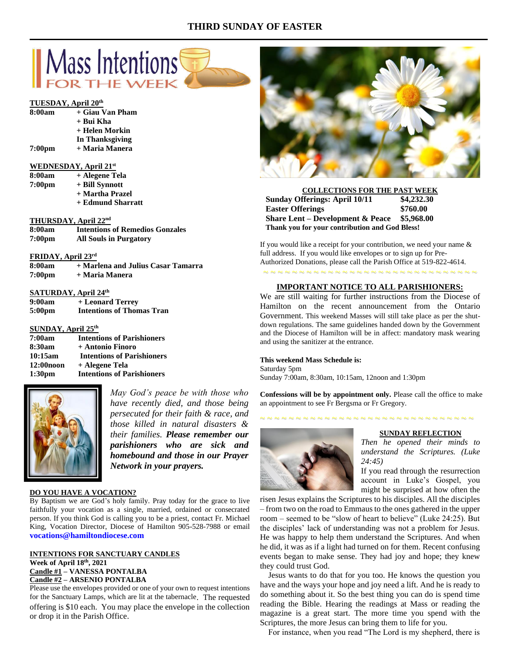# **THIRD SUNDAY OF EASTER**



# **TUESDAY, April 20th**

| 8:00am | + Giau Van Pham |
|--------|-----------------|
|        | + Bui Kha       |
|        | + Helen Morkin  |
|        | In Thanksgiving |
|        |                 |

**7:00pm + Maria Manera**

# **WEDNESDAY, April 21st**

| 8:00am             | + Alegene Tela    |
|--------------------|-------------------|
| 7:00 <sub>pm</sub> | + Bill Synnott    |
|                    | + Martha Prazel   |
|                    | + Edmund Sharratt |

# **THURSDAY, April 22nd**

| 8:00am             | <b>Intentions of Remedios Gonzales</b> |
|--------------------|----------------------------------------|
| 7:00 <sub>pm</sub> | <b>All Souls in Purgatory</b>          |

## **FRIDAY, April 23rd**

| 8:00am             | + Marlena and Julius Casar Tamarra |
|--------------------|------------------------------------|
| 7:00 <sub>pm</sub> | + Maria Manera                     |

# **SATURDAY, April 24th**

| 9:00am             | + Leonard Terrey                 |
|--------------------|----------------------------------|
| 5:00 <sub>pm</sub> | <b>Intentions of Thomas Tran</b> |

# **SUNDAY, April 25th**

| 7:00am             | <b>Intentions of Parishioners</b> |
|--------------------|-----------------------------------|
| 8:30am             | + Antonio Finoro                  |
| 10:15am            | <b>Intentions of Parishioners</b> |
| 12:00 noon         | + Alegene Tela                    |
| 1:30 <sub>pm</sub> | <b>Intentions of Parishioners</b> |



*May God's peace be with those who have recently died, and those being persecuted for their faith & race, and those killed in natural disasters & their families. Please remember our parishioners who are sick and homebound and those in our Prayer Network in your prayers.*

## **DO YOU HAVE A VOCATION?**

By Baptism we are God's holy family. Pray today for the grace to live faithfully your vocation as a single, married, ordained or consecrated person. If you think God is calling you to be a priest, contact Fr. Michael King, Vocation Director, Diocese of Hamilton 905-528-7988 or email **vocations@hamiltondiocese.com** 

### **INTENTIONS FOR SANCTUARY CANDLES Week of April 18 th, 2021 Candle #1 – VANESSA PONTALBA Candle #2 – ARSENIO PONTALBA**

Please use the envelopes provided or one of your own to request intentions for the Sanctuary Lamps, which are lit at the tabernacle. The requested offering is \$10 each. You may place the envelope in the collection or drop it in the Parish Office.



**COLLECTIONS FOR THE PAST WEEK Sunday Offerings: April 10/11 \$4,232.30 Easter Offerings \$760.00 Share Lent – Development & Peace \$5,968.00 Thank you for your contribution and God Bless!**

If you would like a receipt for your contribution, we need your name  $\&$ full address. If you would like envelopes or to sign up for Pre-Authorized Donations, please call the Parish Office at 519-822-4614. ~ ~ ~ ~ ~ ~ ~ ~ ~ ~ ~ ~ ~ ~ ~ ~ ~ ~ ~ ~ ~ ~ ~ ~ ~ ~ ~ ~ ~ ~

## **IMPORTANT NOTICE TO ALL PARISHIONERS:**

We are still waiting for further instructions from the Diocese of Hamilton on the recent announcement from the Ontario Government. This weekend Masses will still take place as per the shutdown regulations. The same guidelines handed down by the Government and the Diocese of Hamilton will be in affect: mandatory mask wearing and using the sanitizer at the entrance.

#### **This weekend Mass Schedule is:**

Saturday 5pm Sunday 7:00am, 8:30am, 10:15am, 12noon and 1:30pm

**Confessions will be by appointment only.** Please call the office to make an appointment to see Fr Bergsma or Fr Gregory.



#### **SUNDAY REFLECTION**

*Then he opened their minds to understand the Scriptures. (Luke 24:45)*

If you read through the resurrection account in Luke's Gospel, you might be surprised at how often the

risen Jesus explains the Scriptures to his disciples. All the disciples – from two on the road to Emmaus to the ones gathered in the upper room – seemed to be "slow of heart to believe" (Luke 24:25). But the disciples' lack of understanding was not a problem for Jesus. He was happy to help them understand the Scriptures. And when he did, it was as if a light had turned on for them. Recent confusing events began to make sense. They had joy and hope; they knew they could trust God.

 Jesus wants to do that for you too. He knows the question you have and the ways your hope and joy need a lift. And he is ready to do something about it. So the best thing you can do is spend time reading the Bible. Hearing the readings at Mass or reading the magazine is a great start. The more time you spend with the Scriptures, the more Jesus can bring them to life for you.

For instance, when you read "The Lord is my shepherd, there is